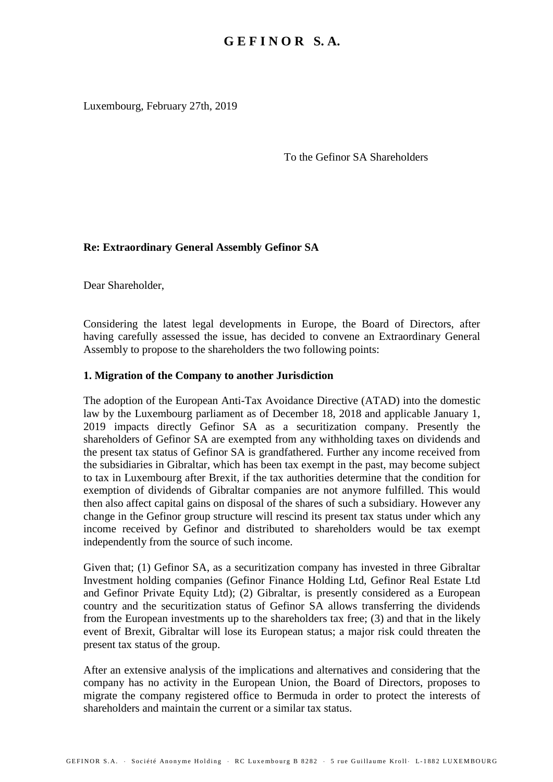Luxembourg, February 27th, 2019

To the Gefinor SA Shareholders

## **Re: Extraordinary General Assembly Gefinor SA**

Dear Shareholder,

Considering the latest legal developments in Europe, the Board of Directors, after having carefully assessed the issue, has decided to convene an Extraordinary General Assembly to propose to the shareholders the two following points:

## **1. Migration of the Company to another Jurisdiction**

The adoption of the European Anti-Tax Avoidance Directive (ATAD) into the domestic law by the Luxembourg parliament as of December 18, 2018 and applicable January 1, 2019 impacts directly Gefinor SA as a securitization company. Presently the shareholders of Gefinor SA are exempted from any withholding taxes on dividends and the present tax status of Gefinor SA is grandfathered. Further any income received from the subsidiaries in Gibraltar, which has been tax exempt in the past, may become subject to tax in Luxembourg after Brexit, if the tax authorities determine that the condition for exemption of dividends of Gibraltar companies are not anymore fulfilled. This would then also affect capital gains on disposal of the shares of such a subsidiary. However any change in the Gefinor group structure will rescind its present tax status under which any income received by Gefinor and distributed to shareholders would be tax exempt independently from the source of such income.

Given that; (1) Gefinor SA, as a securitization company has invested in three Gibraltar Investment holding companies (Gefinor Finance Holding Ltd, Gefinor Real Estate Ltd and Gefinor Private Equity Ltd); (2) Gibraltar, is presently considered as a European country and the securitization status of Gefinor SA allows transferring the dividends from the European investments up to the shareholders tax free; (3) and that in the likely event of Brexit, Gibraltar will lose its European status; a major risk could threaten the present tax status of the group.

After an extensive analysis of the implications and alternatives and considering that the company has no activity in the European Union, the Board of Directors, proposes to migrate the company registered office to Bermuda in order to protect the interests of shareholders and maintain the current or a similar tax status.